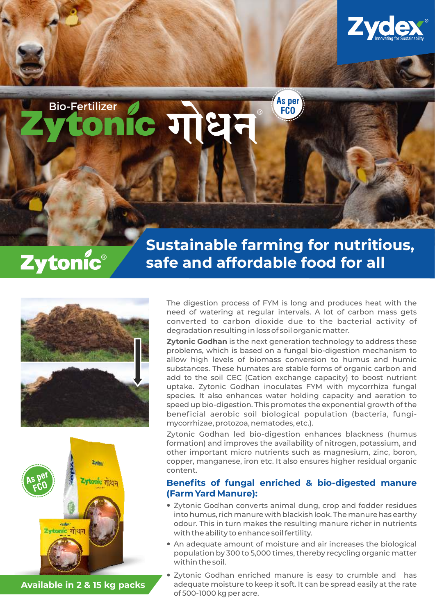

**Bio-Fertilizer**  $c$  गोधन

# Zytonic®

## **Sustainable farming for nutritious, safe and affordable food for all**

As per

**FCO** 





**Available in 2 & 15 kg packs**

The digestion process of FYM is long and produces heat with the need of watering at regular intervals. A lot of carbon mass gets converted to carbon dioxide due to the bacterial activity of degradation resulting in loss of soil organic matter.

**Zytonic Godhan** is the next generation technology to address these problems, which is based on a fungal bio-digestion mechanism to allow high levels of biomass conversion to humus and humic substances. These humates are stable forms of organic carbon and add to the soil CEC (Cation exchange capacity) to boost nutrient uptake. Zytonic Godhan inoculates FYM with mycorrhiza fungal species. It also enhances water holding capacity and aeration to speed up bio-digestion. This promotes the exponential growth of the beneficial aerobic soil biological population (bacteria, fungimycorrhizae, protozoa, nematodes, etc.).

Zytonic Godhan led bio-digestion enhances blackness (humus formation) and improves the availability of nitrogen, potassium, and other important micro nutrients such as magnesium, zinc, boron, copper, manganese, iron etc. It also ensures higher residual organic content.

### **Benefits of fungal enriched & bio-digested manure (Farm Yard Manure):**

- Zytonic Godhan converts animal dung, crop and fodder residues into humus, rich manure with blackish look. The manure has earthy odour. This in turn makes the resulting manure richer in nutrients with the ability to enhance soil fertility.
- An adequate amount of moisture and air increases the biological population by 300 to 5,000 times, thereby recycling organic matter within the soil.
- Zytonic Godhan enriched manure is easy to crumble and has adequate moisture to keep it soft. It can be spread easily at the rate of 500-1000 kg per acre.